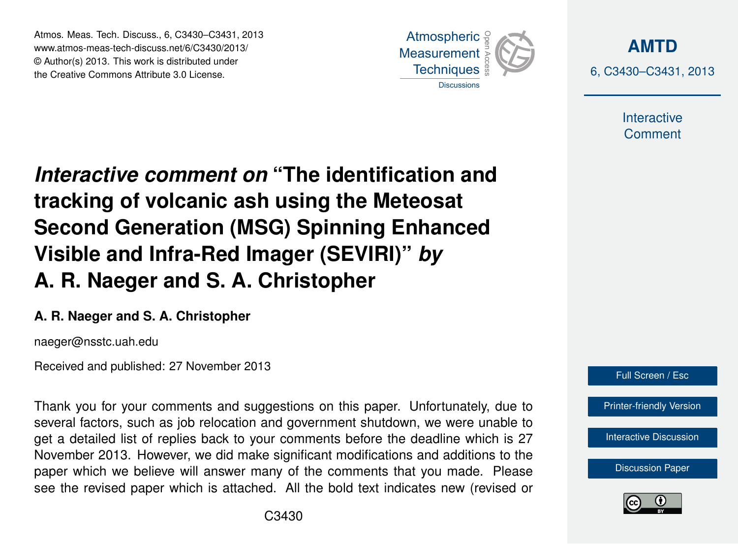Atmos. Meas. Tech. Discuss., 6, C3430–C3431, 2013 www.atmos-meas-tech-discuss.net/6/C3430/2013/ www.atmos-meas-tech-discuss.net/o/C3430/2013/<br>© Author(s) 2013. This work is distributed under the Creative Commons Attribute 3.0 License.



**[AMTD](http://www.atmos-meas-tech-discuss.net)** 6, C3430–C3431, 2013

> Interactive **Comment**

Interactive comment on "The identification and of the Indian of the Past of the Past of the Past of the Past of the Past of the Past of the Past of the Past o Open Access  $\overline{\phantom{a}}$ tracking of volcanic ash using the Meteosat  $\overline{E}$  Deal line Visible and Infra-Red Imager (SEVIRI)" *by* Open Access  $\overline{a}$ **Second Generation (MSG) Spinning Enhanced A. R. Naeger and S. A. Christopher**

## A. R. Naeger and S. A. Christopher Methods and

naeger@nsstc.uah.edu

Received and published: 27 November 2013

Thank you for your comments and suggestions on this paper. Unfortunately, due to '<br>JE  $\overline{\mathsf{v}}$ get a detailed list of replies back to your comments before the deadline which is 27 November 2013. However, we did make significant modifications and additions to the paper which we believe will answer many of the comments that you made. Please r<br>n ic<br>n see the revised paper which is attached. All the bold text indicates new (revised or several factors, such as job relocation and government shutdown, we were unable to



[Printer-friendly Version](http://www.atmos-meas-tech-discuss.net/6/C3430/2013/amtd-6-C3430-2013-print.pdf)

[Interactive Discussion](http://www.atmos-meas-tech-discuss.net/6/5577/2013/amtd-6-5577-2013-discussion.html)

[Discussion Paper](http://www.atmos-meas-tech-discuss.net/6/5577/2013/amtd-6-5577-2013.pdf)



Ocean Science